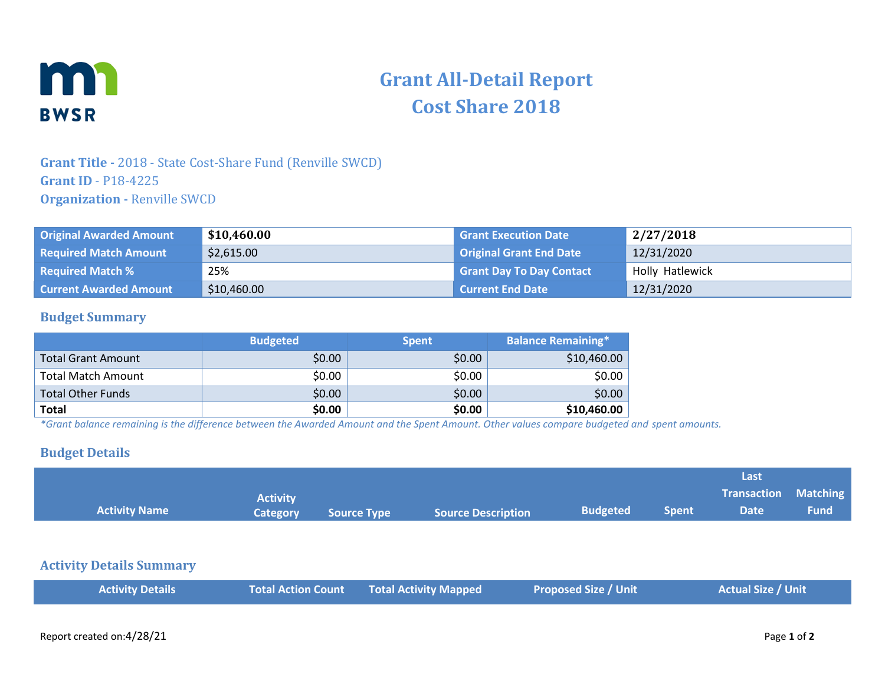

# **Grant All-Detail Report Cost Share 2018**

# **Grant Title -** 2018 - State Cost-Share Fund (Renville SWCD) **Grant ID** - P18-4225 **Organization -** Renville SWCD

| <b>Original Awarded Amount</b> | \$10,460.00 | <b>Grant Execution Date</b>     | 2/27/2018       |
|--------------------------------|-------------|---------------------------------|-----------------|
| <b>Required Match Amount</b>   | \$2,615.00  | Original Grant End Date         | 12/31/2020      |
| <b>Required Match %</b>        | 25%         | <b>Grant Day To Day Contact</b> | Holly Hatlewick |
| <b>Current Awarded Amount</b>  | \$10,460.00 | <b>Current End Date</b>         | 12/31/2020      |

## **Budget Summary**

|                           | <b>Budgeted</b> | <b>Spent</b> | <b>Balance Remaining*</b> |
|---------------------------|-----------------|--------------|---------------------------|
| <b>Total Grant Amount</b> | \$0.00          | \$0.00       | \$10,460.00               |
| <b>Total Match Amount</b> | \$0.00          | \$0.00       | \$0.00                    |
| <b>Total Other Funds</b>  | \$0.00          | \$0.00       | \$0.00                    |
| <b>Total</b>              | \$0.00          | \$0.00       | \$10,460.00               |

*\*Grant balance remaining is the difference between the Awarded Amount and the Spent Amount. Other values compare budgeted and spent amounts.*

#### **Budget Details**

|                      |                 |             |                           |                 |              | Last                        |             |
|----------------------|-----------------|-------------|---------------------------|-----------------|--------------|-----------------------------|-------------|
|                      | <b>Activity</b> |             |                           |                 |              | <b>Transaction Matching</b> |             |
| <b>Activity Name</b> | <b>Category</b> | Source Type | <b>Source Description</b> | <b>Budgeted</b> | <b>Spent</b> | <b>Date</b>                 | <b>Fund</b> |

## **Activity Details Summary**

| <b>Total Action Count Total Activity Mapped</b><br><b>Proposed Size / Unit</b><br><b>Activity Details</b> | <b>Actual Size / Unit</b> |
|-----------------------------------------------------------------------------------------------------------|---------------------------|
|-----------------------------------------------------------------------------------------------------------|---------------------------|